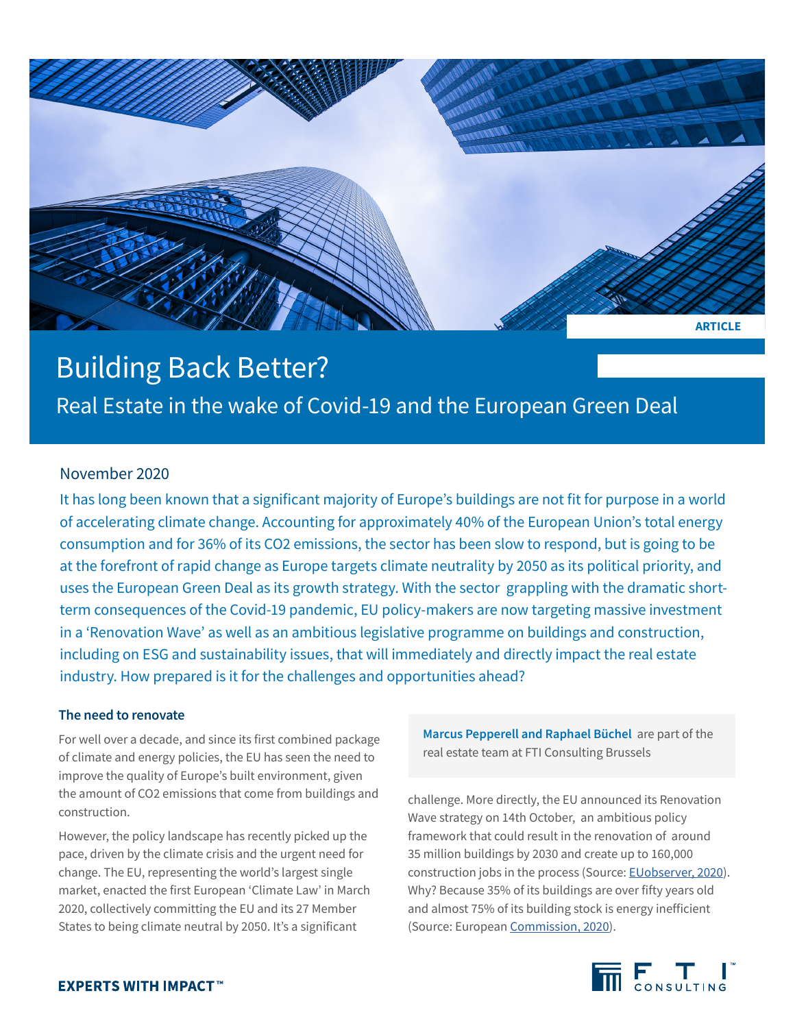

# Building Back Better?

Real Estate in the wake of Covid-19 and the European Green Deal

## November 2020

It has long been known that a significant majority of Europe's buildings are not fit for purpose in a world of accelerating climate change. Accounting for approximately 40% of the European Union's total energy consumption and for 36% of its CO2 emissions, the sector has been slow to respond, but is going to be at the forefront of rapid change as Europe targets climate neutrality by 2050 as its political priority, and uses the European Green Deal as its growth strategy. With the sector grappling with the dramatic shortterm consequences of the Covid-19 pandemic, EU policy-makers are now targeting massive investment in a 'Renovation Wave' as well as an ambitious legislative programme on buildings and construction, including on ESG and sustainability issues, that will immediately and directly impact the real estate industry. How prepared is it for the challenges and opportunities ahead?

## **The need to renovate**

For well over a decade, and since its first combined package of climate and energy policies, the EU has seen the need to improve the quality of Europe's built environment, given the amount of CO2 emissions that come from buildings and construction.

However, the policy landscape has recently picked up the pace, driven by the climate crisis and the urgent need for change. The EU, representing the world's largest single market, enacted the first European 'Climate Law' in March 2020, collectively committing the EU and its 27 Member States to being climate neutral by 2050. It's a significant

**Marcus Pepperell and Raphael Büchel** are part of the real estate team at FTI Consulting Brussels

challenge. More directly, the EU announced its Renovation Wave strategy on 14th October, an ambitious policy framework that could result in the renovation of around 35 million buildings by 2030 and create up to 160,000 construction jobs in the process (Source: [EUobserver, 2020](https://euobserver.com/environment/149759)). Why? Because 35% of its buildings are over fifty years old and almost 75% of its building stock is energy inefficient (Source: European [Commission, 2020](https://ec.europa.eu/energy/topics/energy-efficiency/energy-efficient-buildings/renovation-wave_en)).

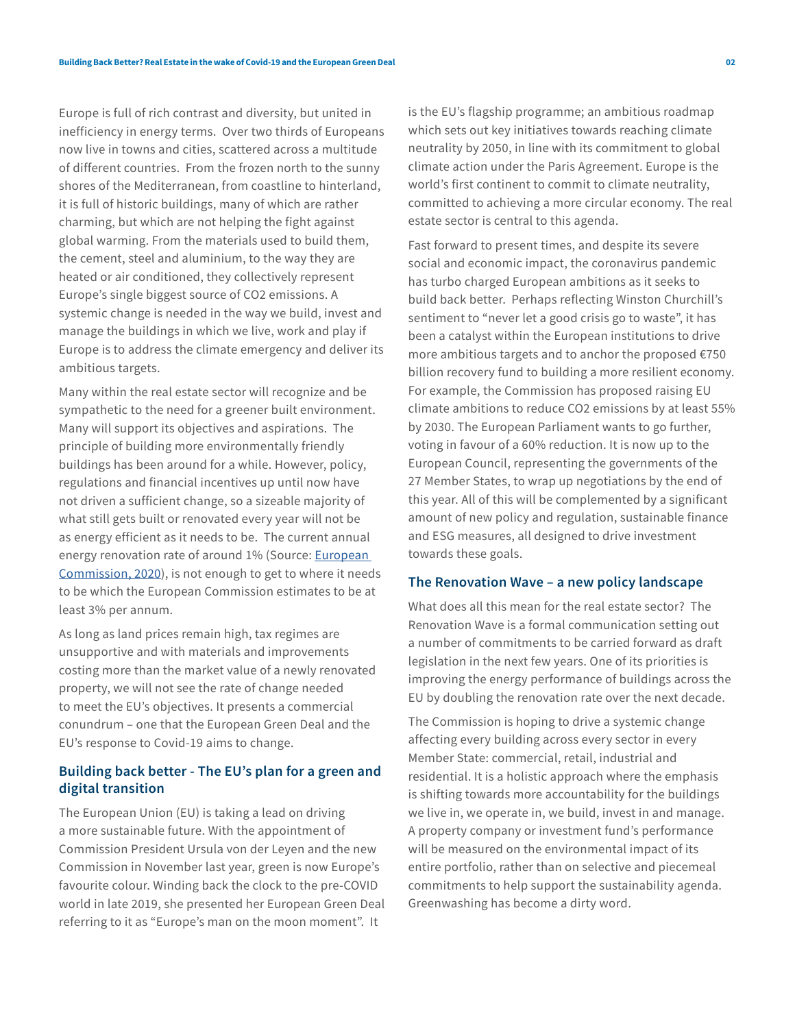Europe is full of rich contrast and diversity, but united in inefficiency in energy terms. Over two thirds of Europeans now live in towns and cities, scattered across a multitude of different countries. From the frozen north to the sunny shores of the Mediterranean, from coastline to hinterland, it is full of historic buildings, many of which are rather charming, but which are not helping the fight against global warming. From the materials used to build them, the cement, steel and aluminium, to the way they are heated or air conditioned, they collectively represent Europe's single biggest source of CO2 emissions. A systemic change is needed in the way we build, invest and manage the buildings in which we live, work and play if Europe is to address the climate emergency and deliver its ambitious targets.

Many within the real estate sector will recognize and be sympathetic to the need for a greener built environment. Many will support its objectives and aspirations. The principle of building more environmentally friendly buildings has been around for a while. However, policy, regulations and financial incentives up until now have not driven a sufficient change, so a sizeable majority of what still gets built or renovated every year will not be as energy efficient as it needs to be. The current annual energy renovation rate of around 1% (Source: [European](https://ec.europa.eu/commission/presscorner/detail/en/QANDA_20_1836)  [Commission, 2020](https://ec.europa.eu/commission/presscorner/detail/en/QANDA_20_1836)), is not enough to get to where it needs to be which the European Commission estimates to be at least 3% per annum.

As long as land prices remain high, tax regimes are unsupportive and with materials and improvements costing more than the market value of a newly renovated property, we will not see the rate of change needed to meet the EU's objectives. It presents a commercial conundrum – one that the European Green Deal and the EU's response to Covid-19 aims to change.

## **Building back better - The EU's plan for a green and digital transition**

The European Union (EU) is taking a lead on driving a more sustainable future. With the appointment of Commission President Ursula von der Leyen and the new Commission in November last year, green is now Europe's favourite colour. Winding back the clock to the pre-COVID world in late 2019, she presented her European Green Deal referring to it as "Europe's man on the moon moment". It

is the EU's flagship programme; an ambitious roadmap which sets out key initiatives towards reaching climate neutrality by 2050, in line with its commitment to global climate action under the Paris Agreement. Europe is the world's first continent to commit to climate neutrality, committed to achieving a more circular economy. The real estate sector is central to this agenda.

Fast forward to present times, and despite its severe social and economic impact, the coronavirus pandemic has turbo charged European ambitions as it seeks to build back better. Perhaps reflecting Winston Churchill's sentiment to "never let a good crisis go to waste", it has been a catalyst within the European institutions to drive more ambitious targets and to anchor the proposed €750 billion recovery fund to building a more resilient economy. For example, the Commission has proposed raising EU climate ambitions to reduce CO2 emissions by at least 55% by 2030. The European Parliament wants to go further, voting in favour of a 60% reduction. It is now up to the European Council, representing the governments of the 27 Member States, to wrap up negotiations by the end of this year. All of this will be complemented by a significant amount of new policy and regulation, sustainable finance and ESG measures, all designed to drive investment towards these goals.

#### **The Renovation Wave – a new policy landscape**

What does all this mean for the real estate sector? The Renovation Wave is a formal communication setting out a number of commitments to be carried forward as draft legislation in the next few years. One of its priorities is improving the energy performance of buildings across the EU by doubling the renovation rate over the next decade.

The Commission is hoping to drive a systemic change affecting every building across every sector in every Member State: commercial, retail, industrial and residential. It is a holistic approach where the emphasis is shifting towards more accountability for the buildings we live in, we operate in, we build, invest in and manage. A property company or investment fund's performance will be measured on the environmental impact of its entire portfolio, rather than on selective and piecemeal commitments to help support the sustainability agenda. Greenwashing has become a dirty word.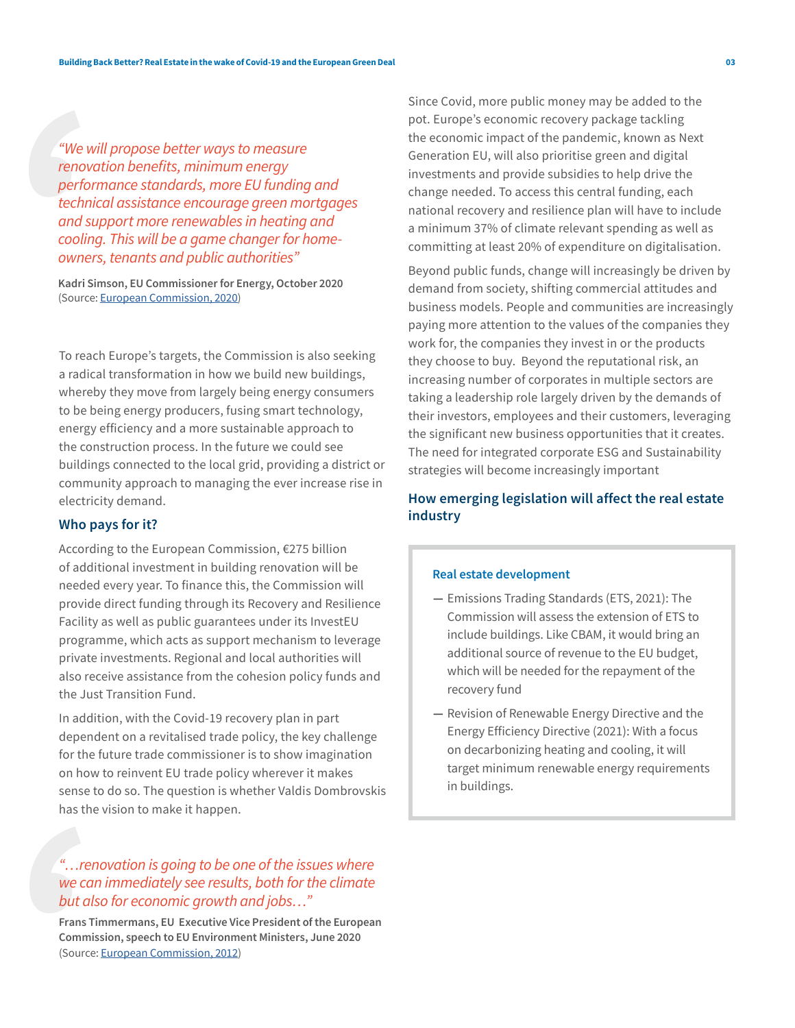*"We will propose better ways to measure renovation benefits, minimum energy performance standards, more EU funding and technical assistance encourage green mortgages and support more renewables in heating and cooling. This will be a game changer for homeowners, tenants and public authorities"*

**Kadri Simson, EU Commissioner for Energy, October 2020** (Source: [European Commission, 2020\)](https://ec.europa.eu/commission/presscorner/detail/en/IP_20_1835)

To reach Europe's targets, the Commission is also seeking a radical transformation in how we build new buildings, whereby they move from largely being energy consumers to be being energy producers, fusing smart technology, energy efficiency and a more sustainable approach to the construction process. In the future we could see buildings connected to the local grid, providing a district or community approach to managing the ever increase rise in electricity demand.

#### **Who pays for it?**

According to the European Commission, €275 billion of additional investment in building renovation will be needed every year. To finance this, the Commission will provide direct funding through its Recovery and Resilience Facility as well as public guarantees under its InvestEU programme, which acts as support mechanism to leverage private investments. Regional and local authorities will also receive assistance from the cohesion policy funds and the Just Transition Fund.

In addition, with the Covid-19 recovery plan in part dependent on a revitalised trade policy, the key challenge for the future trade commissioner is to show imagination on how to reinvent EU trade policy wherever it makes sense to do so. The question is whether Valdis Dombrovskis has the vision to make it happen.

## *"…renovation is going to be one of the issues where we can immediately see results, both for the climate but also for economic growth and jobs…"*

**Frans Timmermans, EU Executive Vice President of the European Commission, speech to EU Environment Ministers, June 2020** (Source: [European Commission, 2012](, https://ec.europa.eu/commission/presscorner/detail/en/statement_20_1182))

Since Covid, more public money may be added to the pot. Europe's economic recovery package tackling the economic impact of the pandemic, known as Next Generation EU, will also prioritise green and digital investments and provide subsidies to help drive the change needed. To access this central funding, each national recovery and resilience plan will have to include a minimum 37% of climate relevant spending as well as committing at least 20% of expenditure on digitalisation.

Beyond public funds, change will increasingly be driven by demand from society, shifting commercial attitudes and business models. People and communities are increasingly paying more attention to the values of the companies they work for, the companies they invest in or the products they choose to buy. Beyond the reputational risk, an increasing number of corporates in multiple sectors are taking a leadership role largely driven by the demands of their investors, employees and their customers, leveraging the significant new business opportunities that it creates. The need for integrated corporate ESG and Sustainability strategies will become increasingly important

## **How emerging legislation will affect the real estate industry**

#### **Real estate development**

- **—** Emissions Trading Standards (ETS, 2021): The Commission will assess the extension of ETS to include buildings. Like CBAM, it would bring an additional source of revenue to the EU budget, which will be needed for the repayment of the recovery fund
- **—** Revision of Renewable Energy Directive and the Energy Efficiency Directive (2021): With a focus on decarbonizing heating and cooling, it will target minimum renewable energy requirements in buildings.